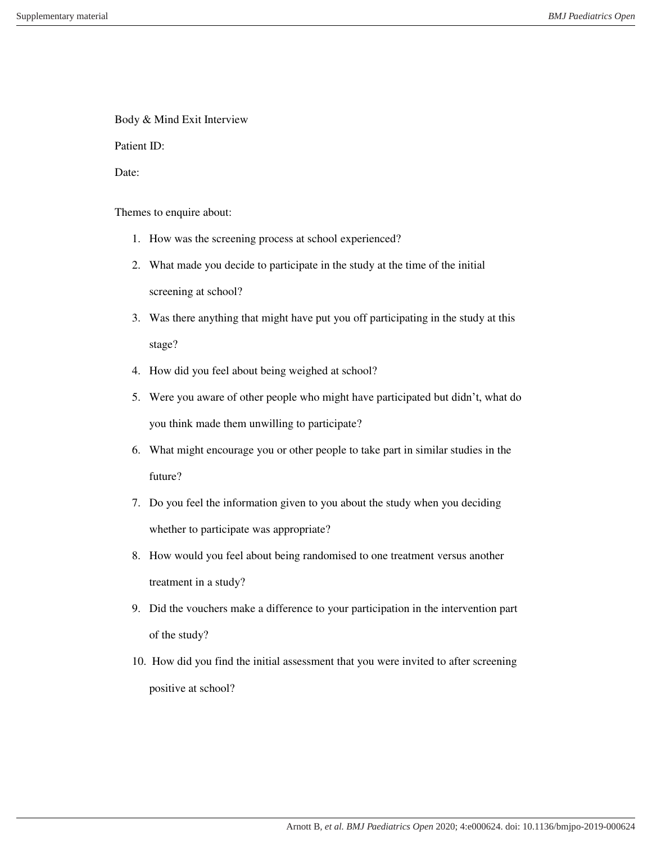Body & Mind Exit Interview

Patient ID:

Date:

Themes to enquire about:

- 1. How was the screening process at school experienced?
- 2. What made you decide to participate in the study at the time of the initial screening at school?
- 3. Was there anything that might have put you off participating in the study at this stage?
- 4. How did you feel about being weighed at school?
- 5. Were you aware of other people who might have participated but didn't, what do you think made them unwilling to participate?
- 6. What might encourage you or other people to take part in similar studies in the future?
- 7. Do you feel the information given to you about the study when you deciding whether to participate was appropriate?
- 8. How would you feel about being randomised to one treatment versus another treatment in a study?
- 9. Did the vouchers make a difference to your participation in the intervention part of the study?
- 10. How did you find the initial assessment that you were invited to after screening positive at school?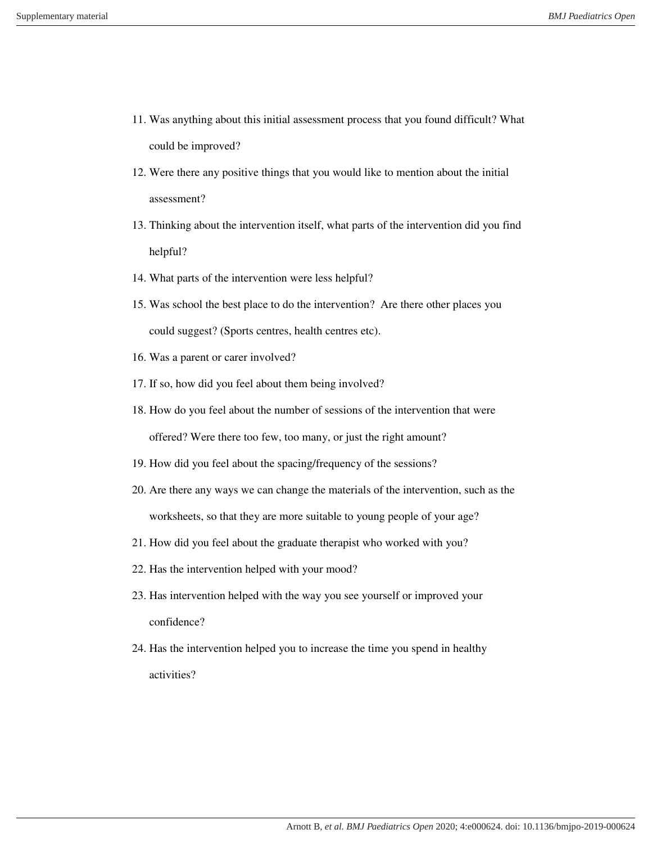- 11. Was anything about this initial assessment process that you found difficult? What could be improved?
- 12. Were there any positive things that you would like to mention about the initial assessment?
- 13. Thinking about the intervention itself, what parts of the intervention did you find helpful?
- 14. What parts of the intervention were less helpful?
- 15. Was school the best place to do the intervention? Are there other places you could suggest? (Sports centres, health centres etc).
- 16. Was a parent or carer involved?
- 17. If so, how did you feel about them being involved?
- 18. How do you feel about the number of sessions of the intervention that were offered? Were there too few, too many, or just the right amount?
- 19. How did you feel about the spacing/frequency of the sessions?
- 20. Are there any ways we can change the materials of the intervention, such as the worksheets, so that they are more suitable to young people of your age?
- 21. How did you feel about the graduate therapist who worked with you?
- 22. Has the intervention helped with your mood?
- 23. Has intervention helped with the way you see yourself or improved your confidence?
- 24. Has the intervention helped you to increase the time you spend in healthy activities?